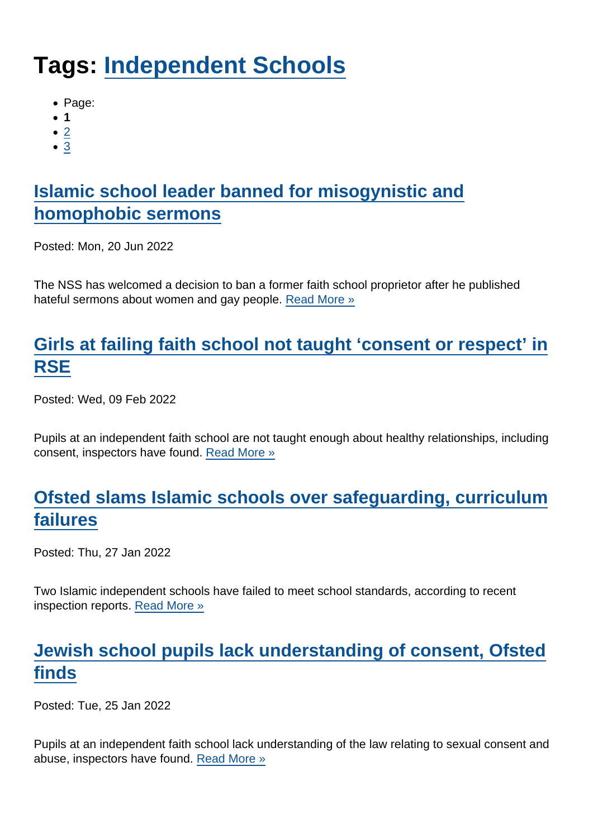# Tags: [Independent Schools](https://www.secularism.org.uk/news/tags/Independent+Schools)

- Page:
- 1
- $\bullet$  [2](/mnt/web-data/www/cp-nss/news/tags/Independent+Schools)
- [3](/mnt/web-data/www/cp-nss/news/tags/Independent+Schools)

# [Islamic school leader banned for misogynistic and](https://www.secularism.org.uk/news/2022/06/islamic-school-leader-banned-for-misogynistic-and-homophobic-sermons) [homophobic sermons](https://www.secularism.org.uk/news/2022/06/islamic-school-leader-banned-for-misogynistic-and-homophobic-sermons)

Posted: Mon, 20 Jun 2022

The NSS has welcomed a decision to ban a former faith school proprietor after he published hateful sermons about women and gay people. [Read More »](https://www.secularism.org.uk/news/2022/06/islamic-school-leader-banned-for-misogynistic-and-homophobic-sermons)

## [Girls at failing faith school not taught 'consent or respect' in](https://www.secularism.org.uk/news/2022/02/girls-at-failing-faith-school-not-taught-consent-or-respect-in-rse) **[RSE](https://www.secularism.org.uk/news/2022/02/girls-at-failing-faith-school-not-taught-consent-or-respect-in-rse)**

Posted: Wed, 09 Feb 2022

Pupils at an independent faith school are not taught enough about healthy relationships, including consent, inspectors have found. [Read More »](https://www.secularism.org.uk/news/2022/02/girls-at-failing-faith-school-not-taught-consent-or-respect-in-rse)

# [Ofsted slams Islamic schools over safeguarding, curriculum](https://www.secularism.org.uk/news/2022/01/ofsted-slams-islamic-schools-over-safeguarding-curriculum-failures) [failures](https://www.secularism.org.uk/news/2022/01/ofsted-slams-islamic-schools-over-safeguarding-curriculum-failures)

Posted: Thu, 27 Jan 2022

Two Islamic independent schools have failed to meet school standards, according to recent inspection reports. [Read More »](https://www.secularism.org.uk/news/2022/01/ofsted-slams-islamic-schools-over-safeguarding-curriculum-failures)

# [Jewish school pupils lack understanding of consent, Ofsted](https://www.secularism.org.uk/news/2022/01/jewish-school-pupils-lack-understanding-of-consent-ofsted-finds) [finds](https://www.secularism.org.uk/news/2022/01/jewish-school-pupils-lack-understanding-of-consent-ofsted-finds)

Posted: Tue, 25 Jan 2022

Pupils at an independent faith school lack understanding of the law relating to sexual consent and abuse, inspectors have found. [Read More »](https://www.secularism.org.uk/news/2022/01/jewish-school-pupils-lack-understanding-of-consent-ofsted-finds)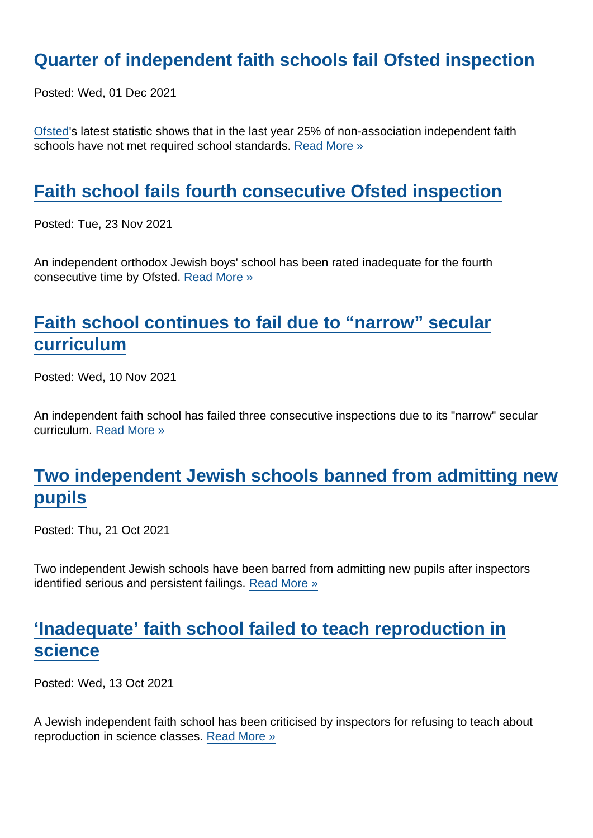## [Quarter of independent faith schools fail Ofsted inspection](https://www.secularism.org.uk/news/2021/12/a-quarter-of-independent-faith-schools-fail-to-meet-standards)

Posted: Wed, 01 Dec 2021

[Ofsted](https://www.gov.uk/government/statistics/non-association-independent-schools-inspections-and-outcomes-in-england-august-2021/non-association-independent-schools-inspections-and-outcomes-as-at-31-august-2021)'s latest statistic shows that in the last year 25% of non-association independent faith schools have not met required school standards. [Read More »](https://www.secularism.org.uk/news/2021/12/a-quarter-of-independent-faith-schools-fail-to-meet-standards)

#### [Faith school fails fourth consecutive Ofsted inspection](https://www.secularism.org.uk/news/2021/11/faith-school-fails-fourth-consecutive-ofsted-inspection)

Posted: Tue, 23 Nov 2021

An independent orthodox Jewish boys' school has been rated inadequate for the fourth consecutive time by Ofsted. [Read More »](https://www.secularism.org.uk/news/2021/11/faith-school-fails-fourth-consecutive-ofsted-inspection)

# [Faith school continues to fail due to "narrow" secular](https://www.secularism.org.uk/news/2021/11/faith-school-continues-to-fail-due-to-narrow-secular-curriculum) [curriculum](https://www.secularism.org.uk/news/2021/11/faith-school-continues-to-fail-due-to-narrow-secular-curriculum)

Posted: Wed, 10 Nov 2021

An independent faith school has failed three consecutive inspections due to its "narrow" secular curriculum. [Read More »](https://www.secularism.org.uk/news/2021/11/faith-school-continues-to-fail-due-to-narrow-secular-curriculum)

## [Two independent Jewish schools banned from admitting new](https://www.secularism.org.uk/news/2021/10/two-independent-jewish-schools-banned-from-admitting-new-pupils) [pupils](https://www.secularism.org.uk/news/2021/10/two-independent-jewish-schools-banned-from-admitting-new-pupils)

Posted: Thu, 21 Oct 2021

Two independent Jewish schools have been barred from admitting new pupils after inspectors identified serious and persistent failings. [Read More »](https://www.secularism.org.uk/news/2021/10/two-independent-jewish-schools-banned-from-admitting-new-pupils)

#### ['Inadequate' faith school failed to teach reproduction in](https://www.secularism.org.uk/news/2021/10/inadequate-faith-school-failed-to-teach-reproduction-in-science) [science](https://www.secularism.org.uk/news/2021/10/inadequate-faith-school-failed-to-teach-reproduction-in-science)

Posted: Wed, 13 Oct 2021

A Jewish independent faith school has been criticised by inspectors for refusing to teach about reproduction in science classes. [Read More »](https://www.secularism.org.uk/news/2021/10/inadequate-faith-school-failed-to-teach-reproduction-in-science)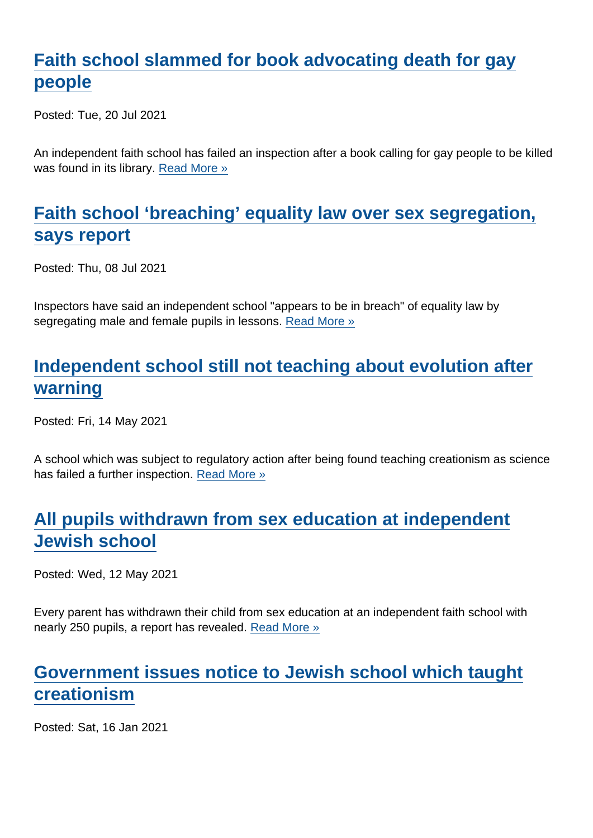## [Faith school slammed for book advocating death for gay](https://www.secularism.org.uk/news/2021/07/faith-school-slammed-for-book-advocating-death-for-gay-people) [people](https://www.secularism.org.uk/news/2021/07/faith-school-slammed-for-book-advocating-death-for-gay-people)

Posted: Tue, 20 Jul 2021

An independent faith school has failed an inspection after a book calling for gay people to be killed was found in its library. [Read More »](https://www.secularism.org.uk/news/2021/07/faith-school-slammed-for-book-advocating-death-for-gay-people)

## [Faith school 'breaching' equality law over sex segregation,](https://www.secularism.org.uk/news/2021/07/faith-school-breaching-equality-law-over-sex-segregation-says-report) [says report](https://www.secularism.org.uk/news/2021/07/faith-school-breaching-equality-law-over-sex-segregation-says-report)

Posted: Thu, 08 Jul 2021

Inspectors have said an independent school "appears to be in breach" of equality law by segregating male and female pupils in lessons. [Read More »](https://www.secularism.org.uk/news/2021/07/faith-school-breaching-equality-law-over-sex-segregation-says-report)

## [Independent school still not teaching about evolution after](https://www.secularism.org.uk/news/2021/05/independent-school-still-not-teaching-about-evolution-after-warning) [warning](https://www.secularism.org.uk/news/2021/05/independent-school-still-not-teaching-about-evolution-after-warning)

Posted: Fri, 14 May 2021

A school which was subject to regulatory action after being found teaching creationism as science has failed a further inspection. [Read More »](https://www.secularism.org.uk/news/2021/05/independent-school-still-not-teaching-about-evolution-after-warning)

## [All pupils withdrawn from sex education at independent](https://www.secularism.org.uk/news/2021/05/all-pupils-withdrawn-from-sex-education-at-independent-jewish-school) [Jewish school](https://www.secularism.org.uk/news/2021/05/all-pupils-withdrawn-from-sex-education-at-independent-jewish-school)

Posted: Wed, 12 May 2021

Every parent has withdrawn their child from sex education at an independent faith school with nearly 250 pupils, a report has revealed. [Read More »](https://www.secularism.org.uk/news/2021/05/all-pupils-withdrawn-from-sex-education-at-independent-jewish-school)

#### [Government issues notice to Jewish school which taught](https://www.secularism.org.uk/news/2021/01/government-issues-notice-to-jewish-school-which-taught-creationism) [creationism](https://www.secularism.org.uk/news/2021/01/government-issues-notice-to-jewish-school-which-taught-creationism)

Posted: Sat, 16 Jan 2021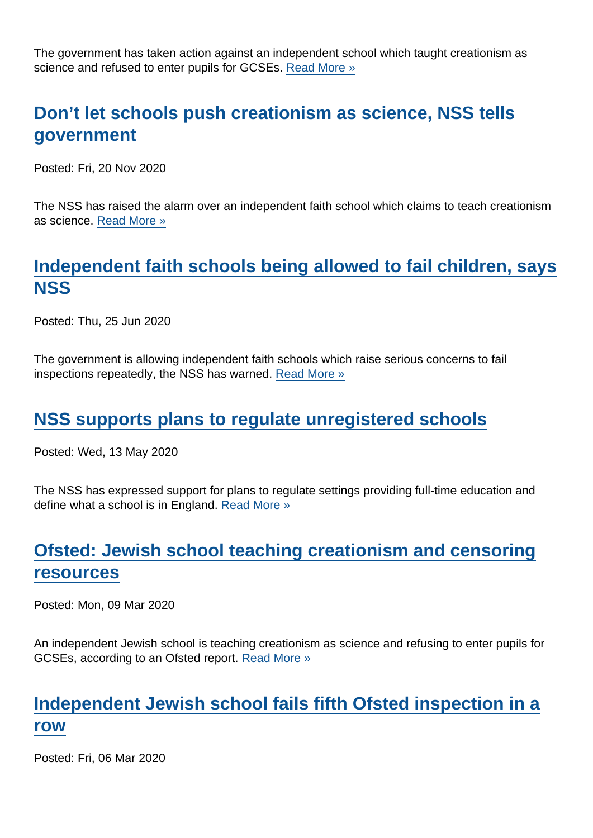The government has taken action against an independent school which taught creationism as science and refused to enter pupils for GCSEs. [Read More »](https://www.secularism.org.uk/news/2021/01/government-issues-notice-to-jewish-school-which-taught-creationism)

## [Don't let schools push creationism as science, NSS tells](https://www.secularism.org.uk/news/2020/11/dont-let-schools-push-creationism-as-science-nss-tells-government) [government](https://www.secularism.org.uk/news/2020/11/dont-let-schools-push-creationism-as-science-nss-tells-government)

Posted: Fri, 20 Nov 2020

The NSS has raised the alarm over an independent faith school which claims to teach creationism as science. [Read More »](https://www.secularism.org.uk/news/2020/11/dont-let-schools-push-creationism-as-science-nss-tells-government)

## [Independent faith schools being allowed to fail children, says](https://www.secularism.org.uk/news/2020/06/independent-faith-schools-being-allowed-to-fail-children-says-nss) [NSS](https://www.secularism.org.uk/news/2020/06/independent-faith-schools-being-allowed-to-fail-children-says-nss)

Posted: Thu, 25 Jun 2020

The government is allowing independent faith schools which raise serious concerns to fail inspections repeatedly, the NSS has warned. [Read More »](https://www.secularism.org.uk/news/2020/06/independent-faith-schools-being-allowed-to-fail-children-says-nss)

#### [NSS supports plans to regulate unregistered schools](https://www.secularism.org.uk/news/2020/05/nss-supports-plans-to-regulate-unregistered-schools)

Posted: Wed, 13 May 2020

The NSS has expressed support for plans to regulate settings providing full-time education and define what a school is in England. [Read More »](https://www.secularism.org.uk/news/2020/05/nss-supports-plans-to-regulate-unregistered-schools)

# [Ofsted: Jewish school teaching creationism and censoring](https://www.secularism.org.uk/news/2020/03/ofsted-jewish-school-teaching-creationism-and-censoring-resources) [resources](https://www.secularism.org.uk/news/2020/03/ofsted-jewish-school-teaching-creationism-and-censoring-resources)

Posted: Mon, 09 Mar 2020

An independent Jewish school is teaching creationism as science and refusing to enter pupils for GCSEs, according to an Ofsted report. [Read More »](https://www.secularism.org.uk/news/2020/03/ofsted-jewish-school-teaching-creationism-and-censoring-resources)

## [Independent Jewish school fails fifth Ofsted inspection in a](https://www.secularism.org.uk/news/2020/03/independent-jewish-school-fails-fifth-ofsted-inspection-in-a-row) [row](https://www.secularism.org.uk/news/2020/03/independent-jewish-school-fails-fifth-ofsted-inspection-in-a-row)

Posted: Fri, 06 Mar 2020